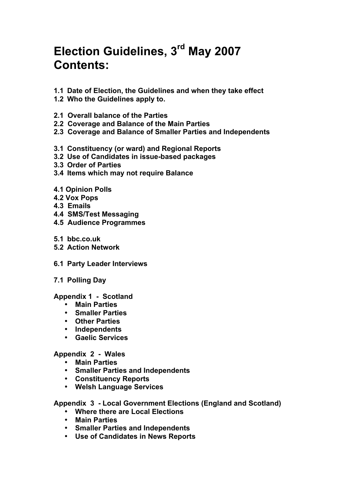# **Election Guidelines, 3rd May 2007 Contents:**

- **1.1 Date of Election, the Guidelines and when they take effect**
- **1.2 Who the Guidelines apply to.**
- **2.1 Overall balance of the Parties**
- **2.2 Coverage and Balance of the Main Parties**
- **2.3 Coverage and Balance of Smaller Parties and Independents**
- **3.1 Constituency (or ward) and Regional Reports**
- **3.2 Use of Candidates in issue-based packages**
- **3.3 Order of Parties**
- **3.4 Items which may not require Balance**
- **4.1 Opinion Polls**
- **4.2 Vox Pops**
- **4.3 Emails**
- **4.4 SMS/Test Messaging**
- **4.5 Audience Programmes**
- **5.1 bbc.co.uk**
- **5.2 Action Network**
- **6.1 Party Leader Interviews**
- **7.1 Polling Day**

#### **Appendix 1 - Scotland**

- **Main Parties**
- **Smaller Parties**
- **Other Parties**
- **Independents**
- **Gaelic Services**

#### **Appendix 2 - Wales**

- **Main Parties**
- **Smaller Parties and Independents**
- **Constituency Reports**
- **Welsh Language Services**

#### **Appendix 3 - Local Government Elections (England and Scotland)**

- **Where there are Local Elections**
- **Main Parties**
- **Smaller Parties and Independents**
- **Use of Candidates in News Reports**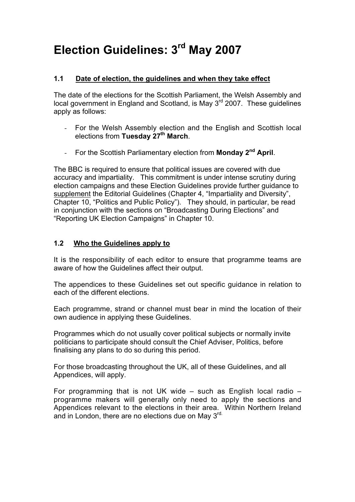# **Election Guidelines: 3rd May 2007**

### **1.1 Date of election, the guidelines and when they take effect**

The date of the elections for the Scottish Parliament, the Welsh Assembly and local government in England and Scotland, is May 3rd 2007. These guidelines apply as follows:

- *-* For the Welsh Assembly election and the English and Scottish local elections from **Tuesday 27th March**.
- *-* For the Scottish Parliamentary election from **Monday 2nd April**.

The BBC is required to ensure that political issues are covered with due accuracy and impartiality. This commitment is under intense scrutiny during election campaigns and these Election Guidelines provide further guidance to supplement the Editorial Guidelines (Chapter 4, "Impartiality and Diversity", Chapter 10, "Politics and Public Policy"). They should, in particular, be read in conjunction with the sections on "Broadcasting During Elections" and "Reporting UK Election Campaigns" in Chapter 10.

# **1.2 Who the Guidelines apply to**

It is the responsibility of each editor to ensure that programme teams are aware of how the Guidelines affect their output.

The appendices to these Guidelines set out specific guidance in relation to each of the different elections.

Each programme, strand or channel must bear in mind the location of their own audience in applying these Guidelines.

Programmes which do not usually cover political subjects or normally invite politicians to participate should consult the Chief Adviser, Politics, before finalising any plans to do so during this period.

For those broadcasting throughout the UK, all of these Guidelines, and all Appendices, will apply.

For programming that is not UK wide – such as English local radio – programme makers will generally only need to apply the sections and Appendices relevant to the elections in their area. Within Northern Ireland and in London, there are no elections due on Mav 3rd.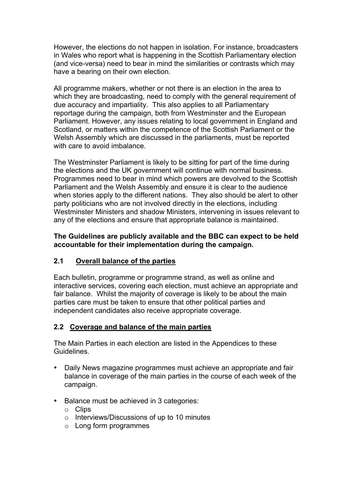However, the elections do not happen in isolation. For instance, broadcasters in Wales who report what is happening in the Scottish Parliamentary election (and vice-versa) need to bear in mind the similarities or contrasts which may have a bearing on their own election.

All programme makers, whether or not there is an election in the area to which they are broadcasting, need to comply with the general requirement of due accuracy and impartiality. This also applies to all Parliamentary reportage during the campaign, both from Westminster and the European Parliament. However, any issues relating to local government in England and Scotland, or matters within the competence of the Scottish Parliament or the Welsh Assembly which are discussed in the parliaments, must be reported with care to avoid imbalance.

The Westminster Parliament is likely to be sitting for part of the time during the elections and the UK government will continue with normal business. Programmes need to bear in mind which powers are devolved to the Scottish Parliament and the Welsh Assembly and ensure it is clear to the audience when stories apply to the different nations. They also should be alert to other party politicians who are not involved directly in the elections, including Westminster Ministers and shadow Ministers, intervening in issues relevant to any of the elections and ensure that appropriate balance is maintained.

**The Guidelines are publicly available and the BBC can expect to be held accountable for their implementation during the campaign.**

### **2.1 Overall balance of the parties**

Each bulletin, programme or programme strand, as well as online and interactive services, covering each election, must achieve an appropriate and fair balance. Whilst the majority of coverage is likely to be about the main parties care must be taken to ensure that other political parties and independent candidates also receive appropriate coverage.

#### **2.2 Coverage and balance of the main parties**

The Main Parties in each election are listed in the Appendices to these **Guidelines** 

- Daily News magazine programmes must achieve an appropriate and fair balance in coverage of the main parties in the course of each week of the campaign.
- Balance must be achieved in 3 categories:
	- o Clips
	- o Interviews/Discussions of up to 10 minutes
	- o Long form programmes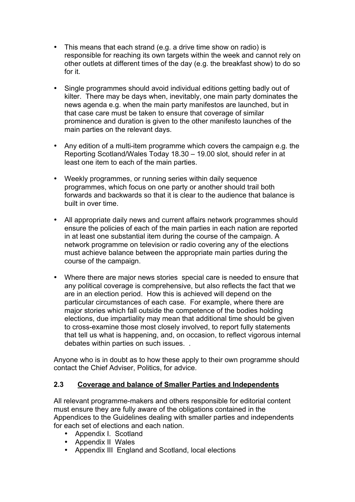- This means that each strand (e.g. a drive time show on radio) is responsible for reaching its own targets within the week and cannot rely on other outlets at different times of the day (e.g. the breakfast show) to do so for it.
- Single programmes should avoid individual editions getting badly out of kilter. There may be days when, inevitably, one main party dominates the news agenda e.g. when the main party manifestos are launched, but in that case care must be taken to ensure that coverage of similar prominence and duration is given to the other manifesto launches of the main parties on the relevant days.
- Any edition of a multi-item programme which covers the campaign e.g. the Reporting Scotland/Wales Today 18.30 – 19.00 slot, should refer in at least one item to each of the main parties.
- Weekly programmes, or running series within daily sequence programmes, which focus on one party or another should trail both forwards and backwards so that it is clear to the audience that balance is built in over time.
- All appropriate daily news and current affairs network programmes should ensure the policies of each of the main parties in each nation are reported in at least one substantial item during the course of the campaign. A network programme on television or radio covering any of the elections must achieve balance between the appropriate main parties during the course of the campaign.
- Where there are major news stories special care is needed to ensure that any political coverage is comprehensive, but also reflects the fact that we are in an election period. How this is achieved will depend on the particular circumstances of each case. For example, where there are major stories which fall outside the competence of the bodies holding elections, due impartiality may mean that additional time should be given to cross-examine those most closely involved, to report fully statements that tell us what is happening, and, on occasion, to reflect vigorous internal debates within parties on such issues. *.*

Anyone who is in doubt as to how these apply to their own programme should contact the Chief Adviser, Politics, for advice.

### **2.3 Coverage and balance of Smaller Parties and Independents**

All relevant programme-makers and others responsible for editorial content must ensure they are fully aware of the obligations contained in the Appendices to the Guidelines dealing with smaller parties and independents for each set of elections and each nation.

- Appendix I. Scotland
- Appendix II Wales
- Appendix III England and Scotland, local elections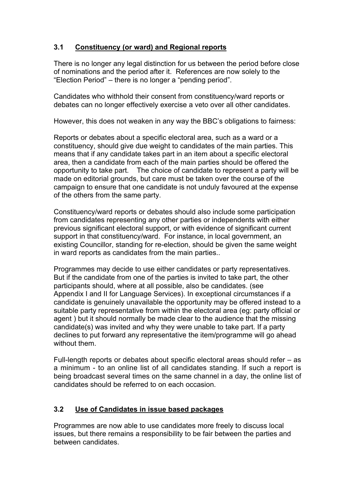# **3.1 Constituency (or ward) and Regional reports**

There is no longer any legal distinction for us between the period before close of nominations and the period after it. References are now solely to the "Election Period" – there is no longer a "pending period".

Candidates who withhold their consent from constituency/ward reports or debates can no longer effectively exercise a veto over all other candidates.

However, this does not weaken in any way the BBC's obligations to fairness:

Reports or debates about a specific electoral area, such as a ward or a constituency, should give due weight to candidates of the main parties. This means that if any candidate takes part in an item about a specific electoral area, then a candidate from each of the main parties should be offered the opportunity to take part. The choice of candidate to represent a party will be made on editorial grounds, but care must be taken over the course of the campaign to ensure that one candidate is not unduly favoured at the expense of the others from the same party.

Constituency/ward reports or debates should also include some participation from candidates representing any other parties or independents with either previous significant electoral support, or with evidence of significant current support in that constituency/ward. For instance, in local government, an existing Councillor, standing for re-election, should be given the same weight in ward reports as candidates from the main parties..

Programmes may decide to use either candidates or party representatives. But if the candidate from one of the parties is invited to take part, the other participants should, where at all possible, also be candidates. (see Appendix I and II for Language Services). In exceptional circumstances if a candidate is genuinely unavailable the opportunity may be offered instead to a suitable party representative from within the electoral area (eg: party official or agent ) but it should normally be made clear to the audience that the missing candidate(s) was invited and why they were unable to take part. If a party declines to put forward any representative the item/programme will go ahead without them

Full-length reports or debates about specific electoral areas should refer – as a minimum - to an online list of all candidates standing. If such a report is being broadcast several times on the same channel in a day, the online list of candidates should be referred to on each occasion.

### **3.2 Use of Candidates in issue based packages**

Programmes are now able to use candidates more freely to discuss local issues, but there remains a responsibility to be fair between the parties and between candidates.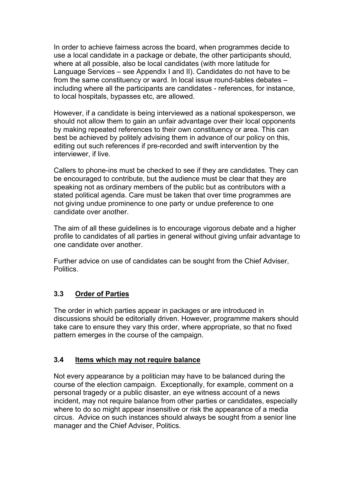In order to achieve fairness across the board, when programmes decide to use a local candidate in a package or debate, the other participants should, where at all possible, also be local candidates (with more latitude for Language Services – see Appendix I and II). Candidates do not have to be from the same constituency or ward. In local issue round-tables debates – including where all the participants are candidates - references, for instance, to local hospitals, bypasses etc, are allowed.

However, if a candidate is being interviewed as a national spokesperson, we should not allow them to gain an unfair advantage over their local opponents by making repeated references to their own constituency or area. This can best be achieved by politely advising them in advance of our policy on this, editing out such references if pre-recorded and swift intervention by the interviewer, if live.

Callers to phone-ins must be checked to see if they are candidates. They can be encouraged to contribute, but the audience must be clear that they are speaking not as ordinary members of the public but as contributors with a stated political agenda. Care must be taken that over time programmes are not giving undue prominence to one party or undue preference to one candidate over another.

The aim of all these guidelines is to encourage vigorous debate and a higher profile to candidates of all parties in general without giving unfair advantage to one candidate over another.

Further advice on use of candidates can be sought from the Chief Adviser, **Politics** 

### **3.3 Order of Parties**

The order in which parties appear in packages or are introduced in discussions should be editorially driven. However, programme makers should take care to ensure they vary this order, where appropriate, so that no fixed pattern emerges in the course of the campaign.

### **3.4 Items which may not require balance**

Not every appearance by a politician may have to be balanced during the course of the election campaign. Exceptionally, for example, comment on a personal tragedy or a public disaster, an eye witness account of a news incident, may not require balance from other parties or candidates, especially where to do so might appear insensitive or risk the appearance of a media circus. Advice on such instances should always be sought from a senior line manager and the Chief Adviser, Politics.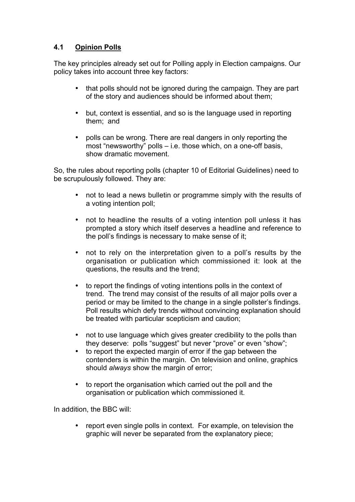# **4.1 Opinion Polls**

The key principles already set out for Polling apply in Election campaigns. Our policy takes into account three key factors:

- that polls should not be ignored during the campaign. They are part of the story and audiences should be informed about them;
- but, context is essential, and so is the language used in reporting them; and
- polls can be wrong. There are real dangers in only reporting the most "newsworthy" polls – i.e. those which, on a one-off basis, show dramatic movement.

So, the rules about reporting polls (chapter 10 of Editorial Guidelines) need to be scrupulously followed. They are:

- not to lead a news bulletin or programme simply with the results of a voting intention poll;
- not to headline the results of a voting intention poll unless it has prompted a story which itself deserves a headline and reference to the poll's findings is necessary to make sense of it;
- not to rely on the interpretation given to a poll's results by the organisation or publication which commissioned it: look at the questions, the results and the trend;
- to report the findings of voting intentions polls in the context of trend. The trend may consist of the results of all major polls over a period or may be limited to the change in a single pollster's findings. Poll results which defy trends without convincing explanation should be treated with particular scepticism and caution;
- not to use language which gives greater credibility to the polls than they deserve: polls "suggest" but never "prove" or even "show";
- to report the expected margin of error if the gap between the contenders is within the margin. On television and online, graphics should *always* show the margin of error;
- to report the organisation which carried out the poll and the organisation or publication which commissioned it.

In addition, the BBC will:

report even single polls in context. For example, on television the graphic will never be separated from the explanatory piece;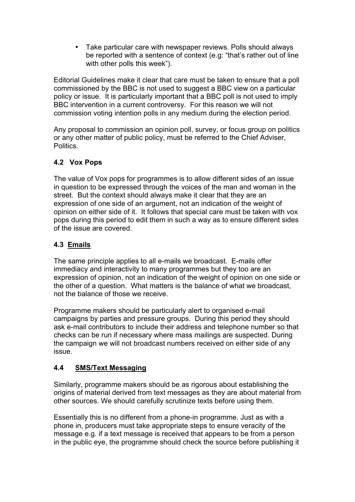• Take particular care with newspaper reviews. Polls should always be reported with a sentence of context (e.g: "that's rather out of line with other polls this week").

Editorial Guidelines make it clear that care must be taken to ensure that a poll commissioned by the BBC is not used to suggest a BBC view on a particular policy or issue. It is particularly important that a BBC poll is not used to imply BBC intervention in a current controversy. For this reason we will not commission voting intention polls in any medium during the election period.

Any proposal to commission an opinion poll, survey, or focus group on politics or any other matter of public policy, must be referred to the Chief Adviser, **Politics** 

### **4.2 Vox Pops**

The value of Vox pops for programmes is to allow different sides of an issue in question to be expressed through the voices of the man and woman in the street. But the context should always make it clear that they are an expression of one side of an argument, not an indication of the weight of opinion on either side of it. It follows that special care must be taken with vox pops during this period to edit them in such a way as to ensure different sides of the issue are covered.

# **4.3 Emails**

The same principle applies to all e-mails we broadcast. E-mails offer immediacy and interactivity to many programmes but they too are an expression of opinion, not an indication of the weight of opinion on one side or the other of a question. What matters is the balance of what we broadcast, not the balance of those we receive.

Programme makers should be particularly alert to organised e-mail campaigns by parties and pressure groups. During this period they should ask e-mail contributors to include their address and telephone number so that checks can be run if necessary where mass mailings are suspected. During the campaign we will not broadcast numbers received on either side of any issue.

### **4.4 SMS/Text Messaging**

Similarly, programme makers should be as rigorous about establishing the origins of material derived from text messages as they are about material from other sources. We should carefully scrutinize texts before using them.

Essentially this is no different from a phone-in programme. Just as with a phone in, producers must take appropriate steps to ensure veracity of the message e.g. if a text message is received that appears to be from a person in the public eye, the programme should check the source before publishing it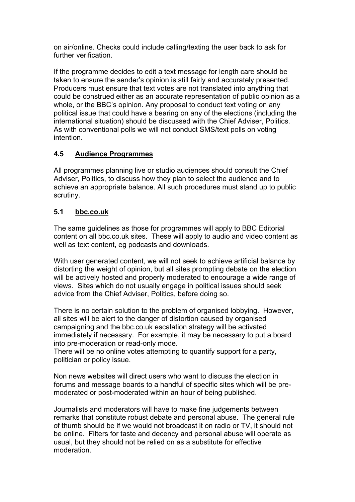on air/online. Checks could include calling/texting the user back to ask for further verification.

If the programme decides to edit a text message for length care should be taken to ensure the sender's opinion is still fairly and accurately presented. Producers must ensure that text votes are not translated into anything that could be construed either as an accurate representation of public opinion as a whole, or the BBC's opinion. Any proposal to conduct text voting on any political issue that could have a bearing on any of the elections (including the international situation) should be discussed with the Chief Adviser, Politics. As with conventional polls we will not conduct SMS/text polls on voting intention.

# **4.5 Audience Programmes**

All programmes planning live or studio audiences should consult the Chief Adviser, Politics, to discuss how they plan to select the audience and to achieve an appropriate balance. All such procedures must stand up to public scrutiny.

# **5.1 bbc.co.uk**

The same guidelines as those for programmes will apply to BBC Editorial content on all bbc.co.uk sites. These will apply to audio and video content as well as text content, eg podcasts and downloads.

With user generated content, we will not seek to achieve artificial balance by distorting the weight of opinion, but all sites prompting debate on the election will be actively hosted and properly moderated to encourage a wide range of views. Sites which do not usually engage in political issues should seek advice from the Chief Adviser, Politics, before doing so.

There is no certain solution to the problem of organised lobbying. However, all sites will be alert to the danger of distortion caused by organised campaigning and the bbc.co.uk escalation strategy will be activated immediately if necessary. For example, it may be necessary to put a board into pre-moderation or read-only mode.

There will be no online votes attempting to quantify support for a party, politician or policy issue.

Non news websites will direct users who want to discuss the election in forums and message boards to a handful of specific sites which will be premoderated or post-moderated within an hour of being published.

Journalists and moderators will have to make fine judgements between remarks that constitute robust debate and personal abuse. The general rule of thumb should be if we would not broadcast it on radio or TV, it should not be online. Filters for taste and decency and personal abuse will operate as usual, but they should not be relied on as a substitute for effective moderation.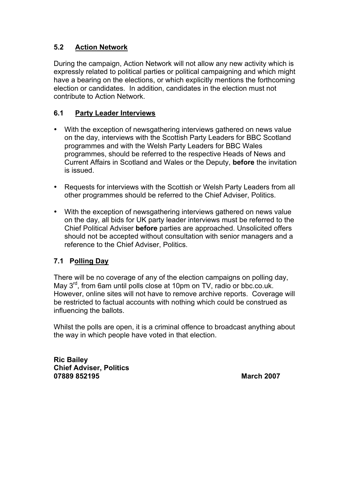# **5.2 Action Network**

During the campaign, Action Network will not allow any new activity which is expressly related to political parties or political campaigning and which might have a bearing on the elections, or which explicitly mentions the forthcoming election or candidates. In addition, candidates in the election must not contribute to Action Network.

### **6.1 Party Leader Interviews**

- With the exception of newsgathering interviews gathered on news value on the day, interviews with the Scottish Party Leaders for BBC Scotland programmes and with the Welsh Party Leaders for BBC Wales programmes, should be referred to the respective Heads of News and Current Affairs in Scotland and Wales or the Deputy, **before** the invitation is issued.
- Requests for interviews with the Scottish or Welsh Party Leaders from all other programmes should be referred to the Chief Adviser, Politics.
- With the exception of newsgathering interviews gathered on news value on the day, all bids for UK party leader interviews must be referred to the Chief Political Adviser **before** parties are approached. Unsolicited offers should not be accepted without consultation with senior managers and a reference to the Chief Adviser, Politics.

### **7.1 Polling Day**

There will be no coverage of any of the election campaigns on polling day, May 3<sup>rd</sup>, from 6am until polls close at 10pm on TV, radio or bbc.co.uk. However, online sites will not have to remove archive reports. Coverage will be restricted to factual accounts with nothing which could be construed as influencing the ballots.

Whilst the polls are open, it is a criminal offence to broadcast anything about the way in which people have voted in that election.

**Ric Bailey Chief Adviser, Politics 07889 852195 March 2007**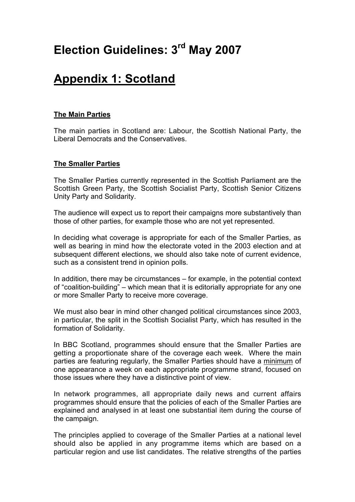# **Election Guidelines: 3rd May 2007**

# **Appendix 1: Scotland**

#### **The Main Parties**

The main parties in Scotland are: Labour, the Scottish National Party, the Liberal Democrats and the Conservatives.

#### **The Smaller Parties**

The Smaller Parties currently represented in the Scottish Parliament are the Scottish Green Party, the Scottish Socialist Party, Scottish Senior Citizens Unity Party and Solidarity.

The audience will expect us to report their campaigns more substantively than those of other parties, for example those who are not yet represented.

In deciding what coverage is appropriate for each of the Smaller Parties, as well as bearing in mind how the electorate voted in the 2003 election and at subsequent different elections, we should also take note of current evidence, such as a consistent trend in opinion polls.

In addition, there may be circumstances – for example, in the potential context of "coalition-building" – which mean that it is editorially appropriate for any one or more Smaller Party to receive more coverage.

We must also bear in mind other changed political circumstances since 2003, in particular, the split in the Scottish Socialist Party, which has resulted in the formation of Solidarity.

In BBC Scotland, programmes should ensure that the Smaller Parties are getting a proportionate share of the coverage each week. Where the main parties are featuring regularly, the Smaller Parties should have a minimum of one appearance a week on each appropriate programme strand, focused on those issues where they have a distinctive point of view.

In network programmes, all appropriate daily news and current affairs programmes should ensure that the policies of each of the Smaller Parties are explained and analysed in at least one substantial item during the course of the campaign.

The principles applied to coverage of the Smaller Parties at a national level should also be applied in any programme items which are based on a particular region and use list candidates. The relative strengths of the parties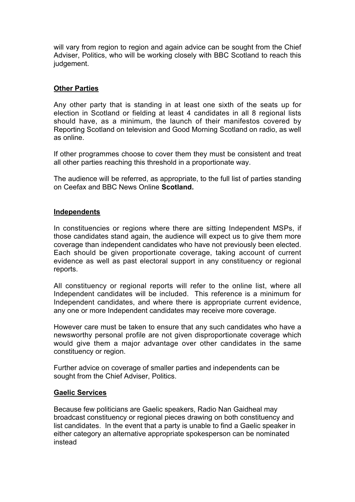will vary from region to region and again advice can be sought from the Chief Adviser, Politics, who will be working closely with BBC Scotland to reach this judgement.

#### **Other Parties**

Any other party that is standing in at least one sixth of the seats up for election in Scotland or fielding at least 4 candidates in all 8 regional lists should have, as a minimum, the launch of their manifestos covered by Reporting Scotland on television and Good Morning Scotland on radio, as well as online.

If other programmes choose to cover them they must be consistent and treat all other parties reaching this threshold in a proportionate way.

The audience will be referred, as appropriate, to the full list of parties standing on Ceefax and BBC News Online **Scotland.**

#### **Independents**

In constituencies or regions where there are sitting Independent MSPs, if those candidates stand again, the audience will expect us to give them more coverage than independent candidates who have not previously been elected. Each should be given proportionate coverage, taking account of current evidence as well as past electoral support in any constituency or regional reports.

All constituency or regional reports will refer to the online list, where all Independent candidates will be included. This reference is a minimum for Independent candidates, and where there is appropriate current evidence, any one or more Independent candidates may receive more coverage.

However care must be taken to ensure that any such candidates who have a newsworthy personal profile are not given disproportionate coverage which would give them a major advantage over other candidates in the same constituency or region.

Further advice on coverage of smaller parties and independents can be sought from the Chief Adviser, Politics.

#### **Gaelic Services**

Because few politicians are Gaelic speakers, Radio Nan Gaidheal may broadcast constituency or regional pieces drawing on both constituency and list candidates. In the event that a party is unable to find a Gaelic speaker in either category an alternative appropriate spokesperson can be nominated instead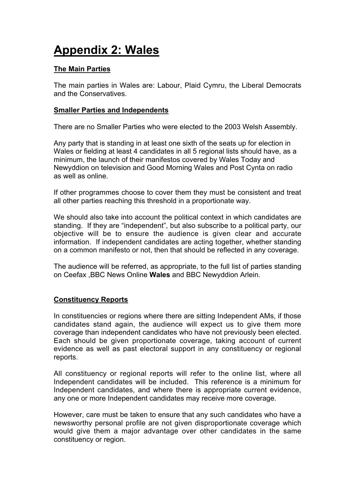# **Appendix 2: Wales**

#### **The Main Parties**

The main parties in Wales are: Labour, Plaid Cymru, the Liberal Democrats and the Conservatives.

#### **Smaller Parties and Independents**

There are no Smaller Parties who were elected to the 2003 Welsh Assembly.

Any party that is standing in at least one sixth of the seats up for election in Wales or fielding at least 4 candidates in all 5 regional lists should have, as a minimum, the launch of their manifestos covered by Wales Today and Newyddion on television and Good Morning Wales and Post Cynta on radio as well as online.

If other programmes choose to cover them they must be consistent and treat all other parties reaching this threshold in a proportionate way.

We should also take into account the political context in which candidates are standing. If they are "independent", but also subscribe to a political party, our objective will be to ensure the audience is given clear and accurate information. If independent candidates are acting together, whether standing on a common manifesto or not, then that should be reflected in any coverage.

The audience will be referred, as appropriate, to the full list of parties standing on Ceefax ,BBC News Online **Wales** and BBC Newyddion Arlein*.*

#### **Constituency Reports**

In constituencies or regions where there are sitting Independent AMs, if those candidates stand again, the audience will expect us to give them more coverage than independent candidates who have not previously been elected. Each should be given proportionate coverage, taking account of current evidence as well as past electoral support in any constituency or regional reports.

All constituency or regional reports will refer to the online list, where all Independent candidates will be included. This reference is a minimum for Independent candidates, and where there is appropriate current evidence, any one or more Independent candidates may receive more coverage.

However, care must be taken to ensure that any such candidates who have a newsworthy personal profile are not given disproportionate coverage which would give them a major advantage over other candidates in the same constituency or region.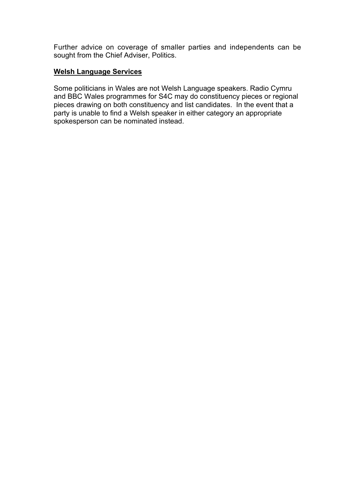Further advice on coverage of smaller parties and independents can be sought from the Chief Adviser, Politics.

#### **Welsh Language Services**

Some politicians in Wales are not Welsh Language speakers. Radio Cymru and BBC Wales programmes for S4C may do constituency pieces or regional pieces drawing on both constituency and list candidates. In the event that a party is unable to find a Welsh speaker in either category an appropriate spokesperson can be nominated instead.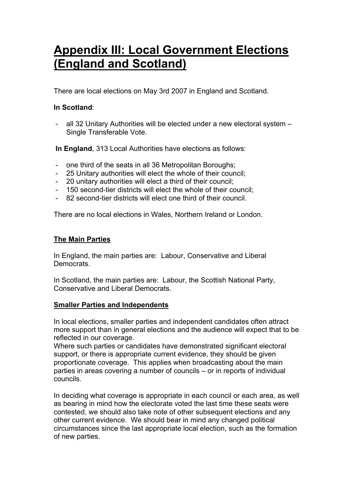# **Appendix III: Local Government Elections (England and Scotland)**

There are local elections on May 3rd 2007 in England and Scotland.

### **In Scotland**:

all 32 Unitary Authorities will be elected under a new electoral system -Single Transferable Vote.

**In England**, 313 Local Authorities have elections as follows:

- one third of the seats in all 36 Metropolitan Boroughs;
- 25 Unitary authorities will elect the whole of their council;
- 20 unitary authorities will elect a third of their council;
- 150 second-tier districts will elect the whole of their council;
- 82 second-tier districts will elect one third of their council.

There are no local elections in Wales, Northern Ireland or London.

# **The Main Parties**

In England, the main parties are: Labour, Conservative and Liberal Democrats.

In Scotland, the main parties are: Labour, the Scottish National Party, Conservative and Liberal Democrats.

# **Smaller Parties and Independents**

In local elections, smaller parties and independent candidates often attract more support than in general elections and the audience will expect that to be reflected in our coverage.

Where such parties or candidates have demonstrated significant electoral support, or there is appropriate current evidence, they should be given proportionate coverage. This applies when broadcasting about the main parties in areas covering a number of councils – or in reports of individual councils.

In deciding what coverage is appropriate in each council or each area, as well as bearing in mind how the electorate voted the last time these seats were contested, we should also take note of other subsequent elections and any other current evidence. We should bear in mind any changed political circumstances since the last appropriate local election, such as the formation of new parties.